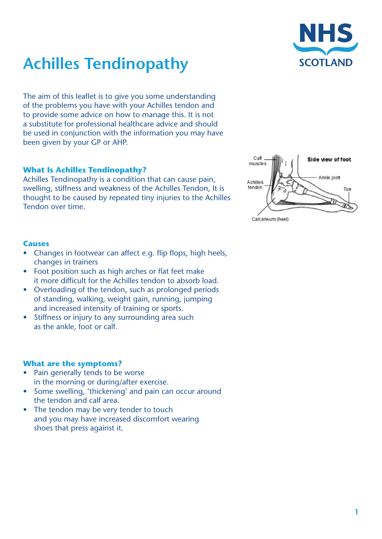



The aim of this leaflet is to give you some understanding of the problems you have with your Achilles tendon and to provide some advice on how to manage this. It is not a substitute for professional healthcare advice and should be used in conjunction with the information you may have been given by your GP or AHP.

#### **What Is Achilles Tendinopathy?**

Achilles Tendinopathy is a condition that can cause pain, swelling, stiffness and weakness of the Achilles Tendon, It is thought to be caused by repeated tiny injuries to the Achilles Tendon over time.



#### **Causes**

- Changes in footwear can affect e.g. flip flops, high heels, changes in trainers
- Foot position such as high arches or flat feet make it more difficult for the Achilles tendon to absorb load.
- Overloading of the tendon, such as prolonged periods of standing, walking, weight gain, running, jumping and increased intensity of training or sports.
- Stiffness or injury to any surrounding area such as the ankle, foot or calf.

### **What are the symptoms?**

- Pain generally tends to be worse in the morning or during/after exercise.
- Some swelling, 'thickening' and pain can occur around the tendon and calf area.
- The tendon may be very tender to touch and you may have increased discomfort wearing shoes that press against it.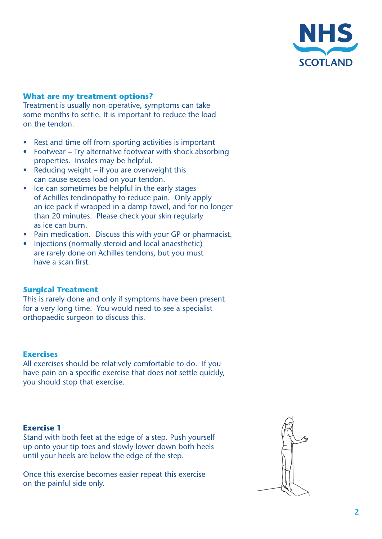

# **What are my treatment options?**

Treatment is usually non-operative, symptoms can take some months to settle. It is important to reduce the load on the tendon.

- Rest and time off from sporting activities is important
- Footwear Try alternative footwear with shock absorbing properties. Insoles may be helpful.
- Reducing weight if you are overweight this can cause excess load on your tendon.
- Ice can sometimes be helpful in the early stages of Achilles tendinopathy to reduce pain. Only apply an ice pack if wrapped in a damp towel, and for no longer than 20 minutes. Please check your skin regularly as ice can burn.
- Pain medication. Discuss this with your GP or pharmacist.
- Injections (normally steroid and local anaesthetic) are rarely done on Achilles tendons, but you must have a scan first.

#### **Surgical Treatment**

This is rarely done and only if symptoms have been present for a very long time. You would need to see a specialist orthopaedic surgeon to discuss this.

#### **Exercises**

All exercises should be relatively comfortable to do. If you have pain on a specific exercise that does not settle quickly, you should stop that exercise.

#### **Exercise 1**

Stand with both feet at the edge of a step. Push yourself up onto your tip toes and slowly lower down both heels until your heels are below the edge of the step.

Once this exercise becomes easier repeat this exercise on the painful side only.

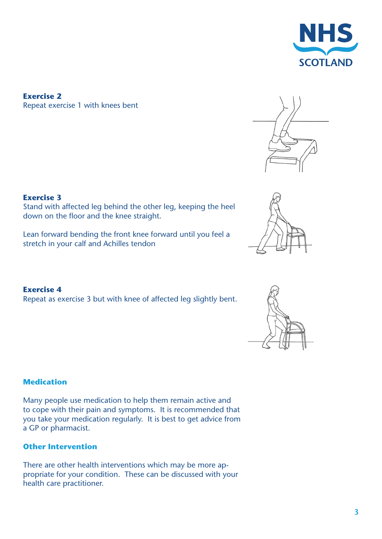

**Exercise 2** Repeat exercise 1 with knees bent



## **Exercise 3**

Stand with affected leg behind the other leg, keeping the heel down on the floor and the knee straight.

Lean forward bending the front knee forward until you feel a stretch in your calf and Achilles tendon

#### **Exercise 4**

Repeat as exercise 3 but with knee of affected leg slightly bent.

### **Medication**

Many people use medication to help them remain active and to cope with their pain and symptoms. It is recommended that you take your medication regularly. It is best to get advice from a GP or pharmacist.

## **Other Intervention**

There are other health interventions which may be more appropriate for your condition. These can be discussed with your health care practitioner.